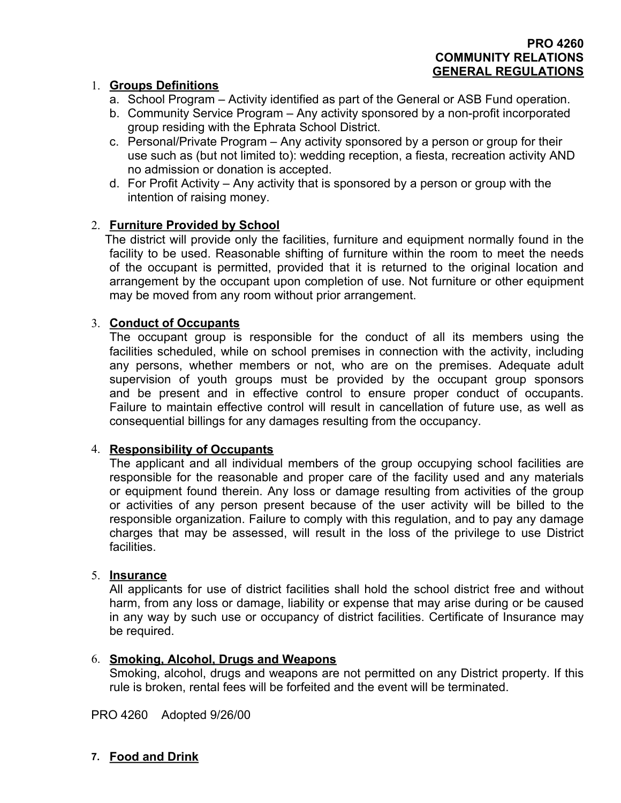# **PRO 4260 COMMUNITY RELATIONS GENERAL REGULATIONS**

### 1. **Groups Definitions**

- a. School Program Activity identified as part of the General or ASB Fund operation.
- b. Community Service Program Any activity sponsored by a non-profit incorporated group residing with the Ephrata School District.
- c. Personal/Private Program Any activity sponsored by a person or group for their use such as (but not limited to): wedding reception, a fiesta, recreation activity AND no admission or donation is accepted.
- d. For Profit Activity Any activity that is sponsored by a person or group with the intention of raising money.

### 2. **Furniture Provided by School**

The district will provide only the facilities, furniture and equipment normally found in the facility to be used. Reasonable shifting of furniture within the room to meet the needs of the occupant is permitted, provided that it is returned to the original location and arrangement by the occupant upon completion of use. Not furniture or other equipment may be moved from any room without prior arrangement.

### 3. **Conduct of Occupants**

The occupant group is responsible for the conduct of all its members using the facilities scheduled, while on school premises in connection with the activity, including any persons, whether members or not, who are on the premises. Adequate adult supervision of youth groups must be provided by the occupant group sponsors and be present and in effective control to ensure proper conduct of occupants. Failure to maintain effective control will result in cancellation of future use, as well as consequential billings for any damages resulting from the occupancy.

### 4. **Responsibility of Occupants**

The applicant and all individual members of the group occupying school facilities are responsible for the reasonable and proper care of the facility used and any materials or equipment found therein. Any loss or damage resulting from activities of the group or activities of any person present because of the user activity will be billed to the responsible organization. Failure to comply with this regulation, and to pay any damage charges that may be assessed, will result in the loss of the privilege to use District facilities.

### 5. **Insurance**

All applicants for use of district facilities shall hold the school district free and without harm, from any loss or damage, liability or expense that may arise during or be caused in any way by such use or occupancy of district facilities. Certificate of Insurance may be required.

### 6. **Smoking, Alcohol, Drugs and Weapons**

Smoking, alcohol, drugs and weapons are not permitted on any District property. If this rule is broken, rental fees will be forfeited and the event will be terminated.

PRO 4260 Adopted 9/26/00

### **7. Food and Drink**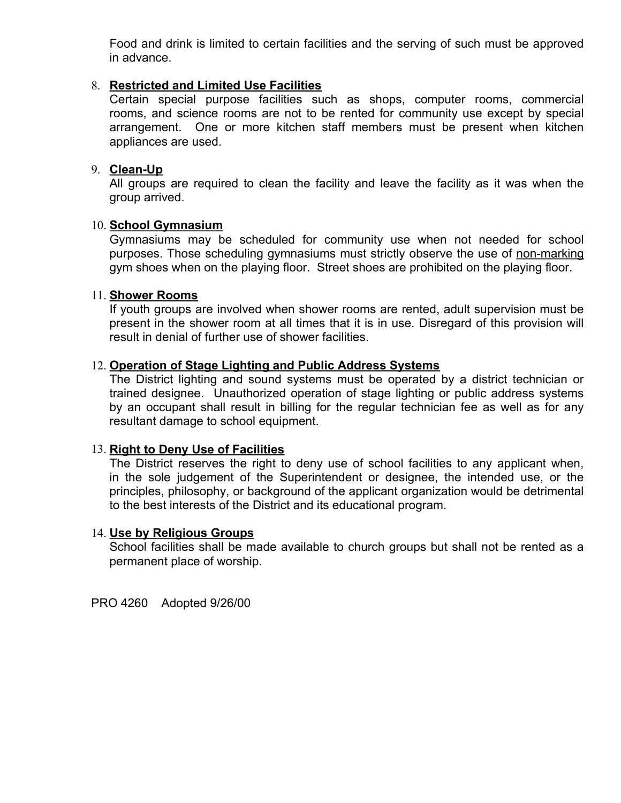Food and drink is limited to certain facilities and the serving of such must be approved in advance.

### 8. **Restricted and Limited Use Facilities**

Certain special purpose facilities such as shops, computer rooms, commercial rooms, and science rooms are not to be rented for community use except by special arrangement. One or more kitchen staff members must be present when kitchen appliances are used.

### 9. **Clean-Up**

All groups are required to clean the facility and leave the facility as it was when the group arrived.

### 10. **School Gymnasium**

Gymnasiums may be scheduled for community use when not needed for school purposes. Those scheduling gymnasiums must strictly observe the use of non-marking gym shoes when on the playing floor. Street shoes are prohibited on the playing floor.

#### 11. **Shower Rooms**

If youth groups are involved when shower rooms are rented, adult supervision must be present in the shower room at all times that it is in use. Disregard of this provision will result in denial of further use of shower facilities.

### 12. **Operation of Stage Lighting and Public Address Systems**

The District lighting and sound systems must be operated by a district technician or trained designee. Unauthorized operation of stage lighting or public address systems by an occupant shall result in billing for the regular technician fee as well as for any resultant damage to school equipment.

#### 13. **Right to Deny Use of Facilities**

The District reserves the right to deny use of school facilities to any applicant when, in the sole judgement of the Superintendent or designee, the intended use, or the principles, philosophy, or background of the applicant organization would be detrimental to the best interests of the District and its educational program.

#### 14. **Use by Religious Groups**

School facilities shall be made available to church groups but shall not be rented as a permanent place of worship.

PRO 4260 Adopted 9/26/00